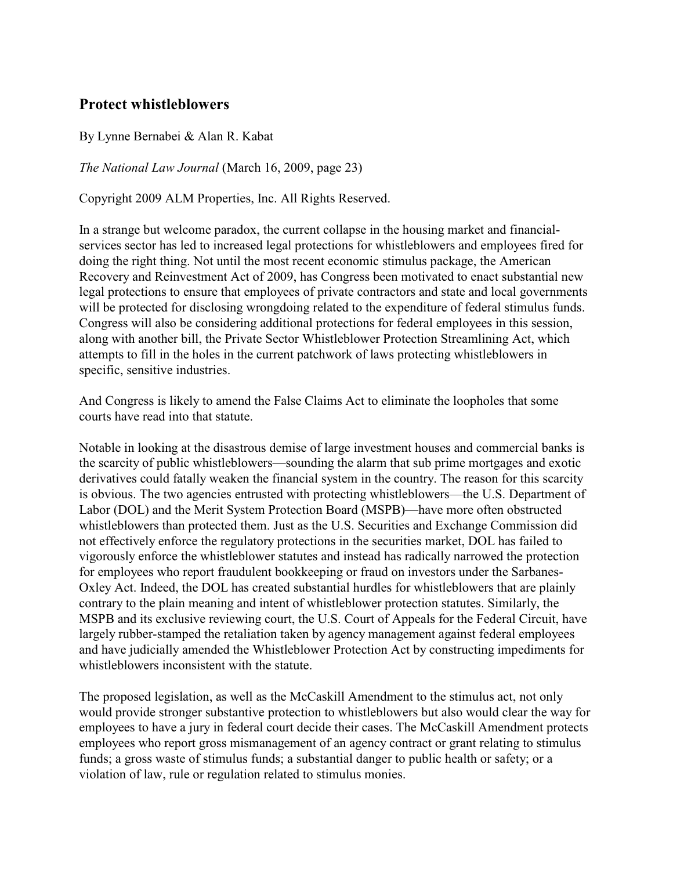## **Protect whistleblowers**

By Lynne Bernabei & Alan R. Kabat

*The National Law Journal* (March 16, 2009, page 23)

Copyright 2009 ALM Properties, Inc. All Rights Reserved.

In a strange but welcome paradox, the current collapse in the housing market and financialservices sector has led to increased legal protections for whistleblowers and employees fired for doing the right thing. Not until the most recent economic stimulus package, the American Recovery and Reinvestment Act of 2009, has Congress been motivated to enact substantial new legal protections to ensure that employees of private contractors and state and local governments will be protected for disclosing wrongdoing related to the expenditure of federal stimulus funds. Congress will also be considering additional protections for federal employees in this session, along with another bill, the Private Sector Whistleblower Protection Streamlining Act, which attempts to fill in the holes in the current patchwork of laws protecting whistleblowers in specific, sensitive industries.

And Congress is likely to amend the False Claims Act to eliminate the loopholes that some courts have read into that statute.

Notable in looking at the disastrous demise of large investment houses and commercial banks is the scarcity of public whistleblowers—sounding the alarm that sub prime mortgages and exotic derivatives could fatally weaken the financial system in the country. The reason for this scarcity is obvious. The two agencies entrusted with protecting whistleblowers—the U.S. Department of Labor (DOL) and the Merit System Protection Board (MSPB)—have more often obstructed whistleblowers than protected them. Just as the U.S. Securities and Exchange Commission did not effectively enforce the regulatory protections in the securities market, DOL has failed to vigorously enforce the whistleblower statutes and instead has radically narrowed the protection for employees who report fraudulent bookkeeping or fraud on investors under the Sarbanes-Oxley Act. Indeed, the DOL has created substantial hurdles for whistleblowers that are plainly contrary to the plain meaning and intent of whistleblower protection statutes. Similarly, the MSPB and its exclusive reviewing court, the U.S. Court of Appeals for the Federal Circuit, have largely rubber-stamped the retaliation taken by agency management against federal employees and have judicially amended the Whistleblower Protection Act by constructing impediments for whistleblowers inconsistent with the statute.

The proposed legislation, as well as the McCaskill Amendment to the stimulus act, not only would provide stronger substantive protection to whistleblowers but also would clear the way for employees to have a jury in federal court decide their cases. The McCaskill Amendment protects employees who report gross mismanagement of an agency contract or grant relating to stimulus funds; a gross waste of stimulus funds; a substantial danger to public health or safety; or a violation of law, rule or regulation related to stimulus monies.